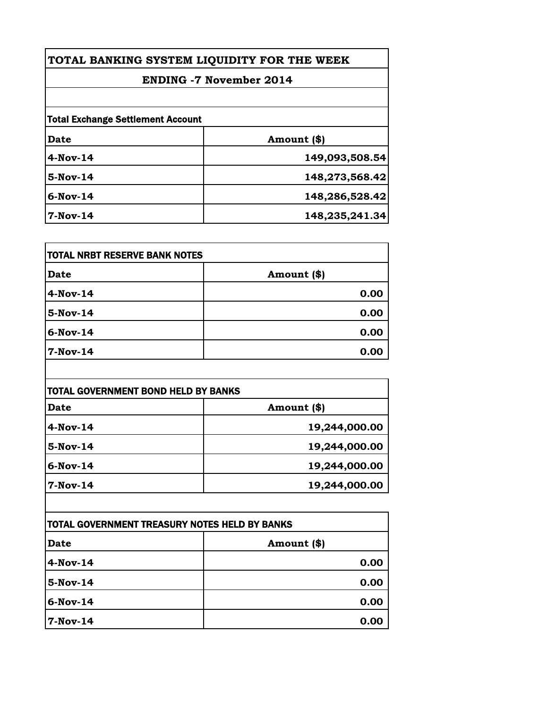| TOTAL BANKING SYSTEM LIQUIDITY FOR THE WEEK |                |
|---------------------------------------------|----------------|
| <b>ENDING -7 November 2014</b>              |                |
|                                             |                |
| <b>Total Exchange Settlement Account</b>    |                |
| Date                                        | Amount (\$)    |
| $4-Nov-14$                                  | 149,093,508.54 |
| 5-Nov-14                                    | 148,273,568.42 |
| $6-Nov-14$                                  | 148,286,528.42 |
| $7-Nov-14$                                  | 148,235,241.34 |

| <b>TOTAL NRBT RESERVE BANK NOTES</b> |             |
|--------------------------------------|-------------|
| <b>Date</b>                          | Amount (\$) |
| $4$ -Nov-14                          | 0.00        |
| 5-Nov-14                             | 0.00        |
| 6-Nov-14                             | 0.00        |
| 7-Nov-14                             | 0.00        |

| TOTAL GOVERNMENT BOND HELD BY BANKS |               |
|-------------------------------------|---------------|
| <b>Date</b>                         | Amount (\$)   |
| $4$ -Nov-14                         | 19,244,000.00 |
| 5-Nov-14                            | 19,244,000.00 |
| $6-Nov-14$                          | 19,244,000.00 |
| 7-Nov-14                            | 19,244,000.00 |

| <b>TOTAL GOVERNMENT TREASURY NOTES HELD BY BANKS</b> |             |
|------------------------------------------------------|-------------|
| <b>Date</b>                                          | Amount (\$) |
| 4-Nov-14                                             | 0.00        |
| 5-Nov-14                                             | 0.00        |
| $6$ -Nov-14                                          | 0.00        |
| $7-Nov-14$                                           | 0.00        |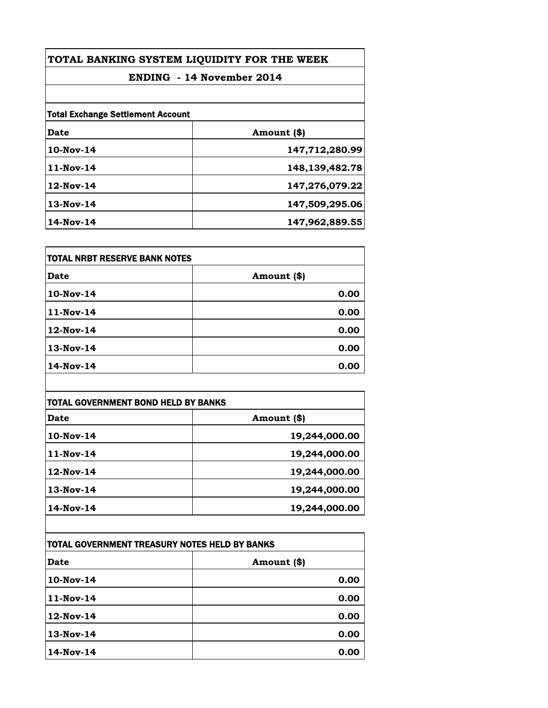| TOTAL BANKING SYSTEM LIQUIDITY FOR THE WEEK |                |
|---------------------------------------------|----------------|
| <b>ENDING - 14 November 2014</b>            |                |
|                                             |                |
| <b>Total Exchange Settlement Account</b>    |                |
| Date                                        | Amount (\$)    |
| 10-Nov-14                                   | 147,712,280.99 |
| $11-Nov-14$                                 | 148,139,482.78 |
| $12$ -Nov-14                                | 147,276,079.22 |
| $13-Nov-14$                                 | 147,509,295.06 |
| 14-Nov-14                                   | 147,962,889.55 |

| <b>TOTAL NRBT RESERVE BANK NOTES</b> |             |
|--------------------------------------|-------------|
| Date                                 | Amount (\$) |
| 10-Nov-14                            | 0.00        |
| 11-Nov-14                            | 0.00        |
| 12-Nov-14                            | 0.00        |
| 13-Nov-14                            | 0.00        |
| 14-Nov-14                            | 0.00        |

| <b>TOTAL GOVERNMENT BOND HELD BY BANKS</b> |               |
|--------------------------------------------|---------------|
| <b>Date</b>                                | Amount (\$)   |
| $10$ -Nov-14                               | 19,244,000.00 |
| 11-Nov-14                                  | 19,244,000.00 |
| $12$ -Nov-14                               | 19,244,000.00 |
| $13-Nov-14$                                | 19,244,000.00 |
| 14-Nov-14                                  | 19,244,000.00 |

| TOTAL GOVERNMENT TREASURY NOTES HELD BY BANKS |              |
|-----------------------------------------------|--------------|
| Date                                          | Amount $(*)$ |
| 10-Nov-14                                     | 0.00         |
| 11-Nov-14                                     | 0.00         |
| 12-Nov-14                                     | 0.00         |
| 13-Nov-14                                     | 0.00         |
| 14-Nov-14                                     | 0.00         |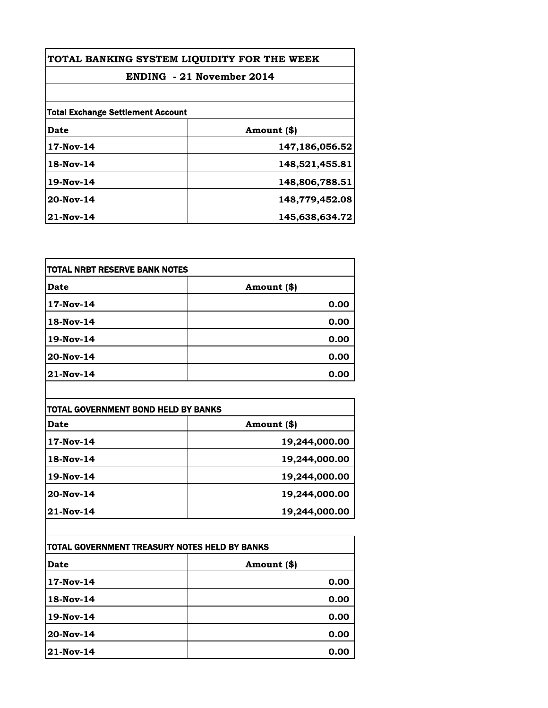| TOTAL BANKING SYSTEM LIQUIDITY FOR THE WEEK |                |
|---------------------------------------------|----------------|
| <b>ENDING</b> - 21 November 2014            |                |
|                                             |                |
| <b>Total Exchange Settlement Account</b>    |                |
| <b>Date</b>                                 | Amount (\$)    |
| 17-Nov-14                                   | 147,186,056.52 |
| 18-Nov-14                                   | 148,521,455.81 |
| 19-Nov-14                                   | 148,806,788.51 |
| $20$ -Nov-14                                | 148,779,452.08 |
| $21$ -Nov-14                                | 145,638,634.72 |

| TOTAL NRBT RESERVE BANK NOTES |             |
|-------------------------------|-------------|
| <b>Date</b>                   | Amount (\$) |
| 17-Nov-14                     | 0.00        |
| 18-Nov-14                     | 0.00        |
| 19-Nov-14                     | 0.00        |
| 20-Nov-14                     | 0.00        |
| 21-Nov-14                     | 0.00        |

| TOTAL GOVERNMENT BOND HELD BY BANKS |               |
|-------------------------------------|---------------|
| Date                                | Amount (\$)   |
| 17-Nov-14                           | 19,244,000.00 |
| 18-Nov-14                           | 19,244,000.00 |
| 19-Nov-14                           | 19,244,000.00 |
| 20-Nov-14                           | 19,244,000.00 |
| $21-Nov-14$                         | 19,244,000.00 |

| ITOTAL GOVERNMENT TREASURY NOTES HELD BY BANKS |             |
|------------------------------------------------|-------------|
| Date                                           | Amount (\$) |
| 17-Nov-14                                      | 0.00        |
| 18-Nov-14                                      | 0.00        |
| 19-Nov-14                                      | 0.00        |
| 20-Nov-14                                      | 0.00        |
| 21-Nov-14                                      | 0.00        |